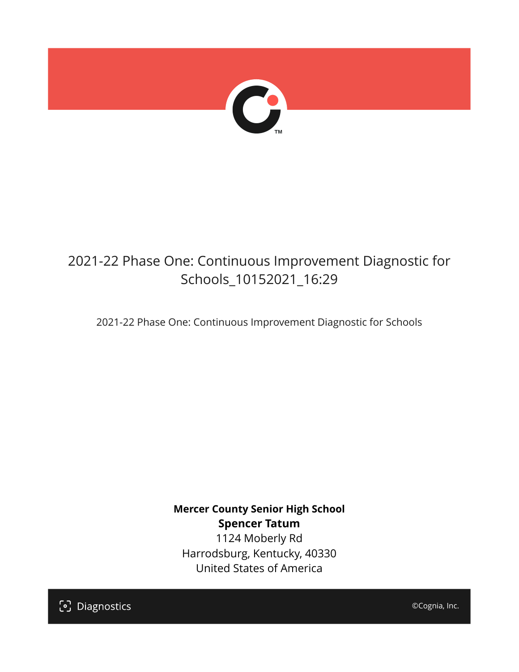

# 2021-22 Phase One: Continuous Improvement Diagnostic for Schools\_10152021\_16:29

2021-22 Phase One: Continuous Improvement Diagnostic for Schools

**Mercer County Senior High School Spencer Tatum** 1124 Moberly Rd Harrodsburg, Kentucky, 40330 United States of America

[၁] Diagnostics

©Cognia, Inc.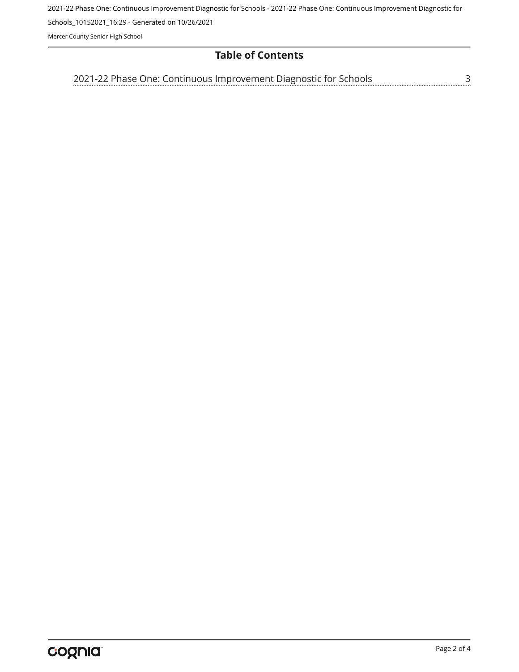2021-22 Phase One: Continuous Improvement Diagnostic for Schools - 2021-22 Phase One: Continuous Improvement Diagnostic for

Schools\_10152021\_16:29 - Generated on 10/26/2021

Mercer County Senior High School

## **Table of Contents**

[2021-22 Phase One: Continuous Improvement Diagnostic for Schools](#page-2-0)[3](#page-2-0)<br>...........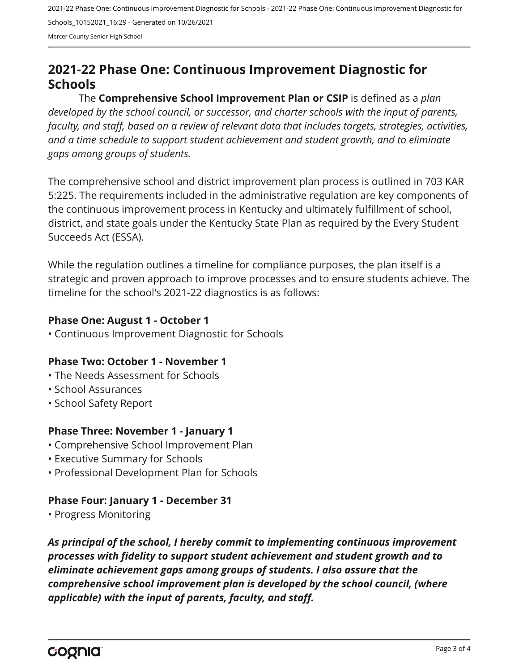2021-22 Phase One: Continuous Improvement Diagnostic for Schools - 2021-22 Phase One: Continuous Improvement Diagnostic for Schools\_10152021\_16:29 - Generated on 10/26/2021 Mercer County Senior High School

<span id="page-2-0"></span>**2021-22 Phase One: Continuous Improvement Diagnostic for Schools**

The **Comprehensive School Improvement Plan or CSIP** is defined as a *plan developed by the school council, or successor, and charter schools with the input of parents, faculty, and staff, based on a review of relevant data that includes targets, strategies, activities, and a time schedule to support student achievement and student growth, and to eliminate gaps among groups of students.*

The comprehensive school and district improvement plan process is outlined in 703 KAR 5:225. The requirements included in the administrative regulation are key components of the continuous improvement process in Kentucky and ultimately fulfillment of school, district, and state goals under the Kentucky State Plan as required by the Every Student Succeeds Act (ESSA).

While the regulation outlines a timeline for compliance purposes, the plan itself is a strategic and proven approach to improve processes and to ensure students achieve. The timeline for the school's 2021-22 diagnostics is as follows:

### **Phase One: August 1 - October 1**

• Continuous Improvement Diagnostic for Schools

### **Phase Two: October 1 - November 1**

- The Needs Assessment for Schools
- School Assurances
- School Safety Report

### **Phase Three: November 1 - January 1**

- Comprehensive School Improvement Plan
- Executive Summary for Schools
- Professional Development Plan for Schools

### **Phase Four: January 1 - December 31**

• Progress Monitoring

*As principal of the school, I hereby commit to implementing continuous improvement processes with fidelity to support student achievement and student growth and to eliminate achievement gaps among groups of students. I also assure that the comprehensive school improvement plan is developed by the school council, (where applicable) with the input of parents, faculty, and staff.*